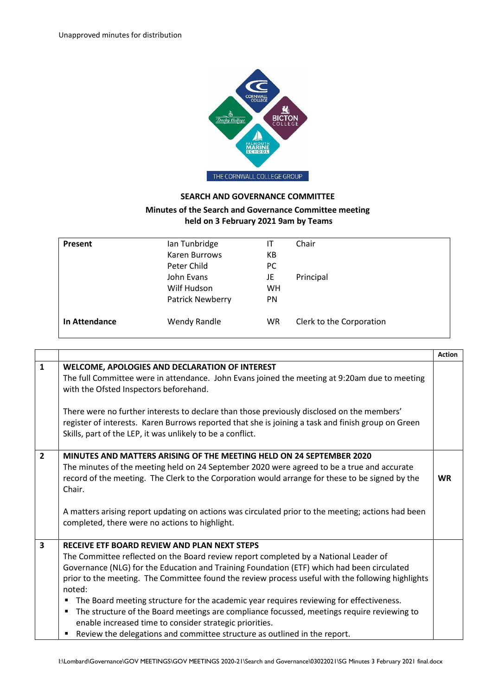

## **SEARCH AND GOVERNANCE COMMITTEE**

## **Minutes of the Search and Governance Committee meeting held on 3 February 2021 9am by Teams**

| Present       | Ian Tunbridge    | IT            | Chair                    |
|---------------|------------------|---------------|--------------------------|
|               | Karen Burrows    | КB            |                          |
|               | Peter Child      | <sub>PC</sub> |                          |
|               | John Evans       | JE            | Principal                |
|               | Wilf Hudson      | <b>WH</b>     |                          |
|               | Patrick Newberry | PN            |                          |
| In Attendance | Wendy Randle     | <b>WR</b>     | Clerk to the Corporation |

|                         |                                                                                                                                                                                                                                                                                                                                              | <b>Action</b> |
|-------------------------|----------------------------------------------------------------------------------------------------------------------------------------------------------------------------------------------------------------------------------------------------------------------------------------------------------------------------------------------|---------------|
| $\mathbf{1}$            | WELCOME, APOLOGIES AND DECLARATION OF INTEREST<br>The full Committee were in attendance. John Evans joined the meeting at 9:20am due to meeting<br>with the Ofsted Inspectors beforehand.                                                                                                                                                    |               |
|                         | There were no further interests to declare than those previously disclosed on the members'<br>register of interests. Karen Burrows reported that she is joining a task and finish group on Green<br>Skills, part of the LEP, it was unlikely to be a conflict.                                                                               |               |
| $\overline{2}$          | MINUTES AND MATTERS ARISING OF THE MEETING HELD ON 24 SEPTEMBER 2020<br>The minutes of the meeting held on 24 September 2020 were agreed to be a true and accurate<br>record of the meeting. The Clerk to the Corporation would arrange for these to be signed by the<br>Chair.                                                              | <b>WR</b>     |
|                         | A matters arising report updating on actions was circulated prior to the meeting; actions had been<br>completed, there were no actions to highlight.                                                                                                                                                                                         |               |
| $\overline{\mathbf{3}}$ | RECEIVE ETF BOARD REVIEW AND PLAN NEXT STEPS                                                                                                                                                                                                                                                                                                 |               |
|                         | The Committee reflected on the Board review report completed by a National Leader of<br>Governance (NLG) for the Education and Training Foundation (ETF) which had been circulated<br>prior to the meeting. The Committee found the review process useful with the following highlights<br>noted:                                            |               |
|                         | The Board meeting structure for the academic year requires reviewing for effectiveness.<br>Е<br>The structure of the Board meetings are compliance focussed, meetings require reviewing to<br>Е<br>enable increased time to consider strategic priorities.<br>Review the delegations and committee structure as outlined in the report.<br>п |               |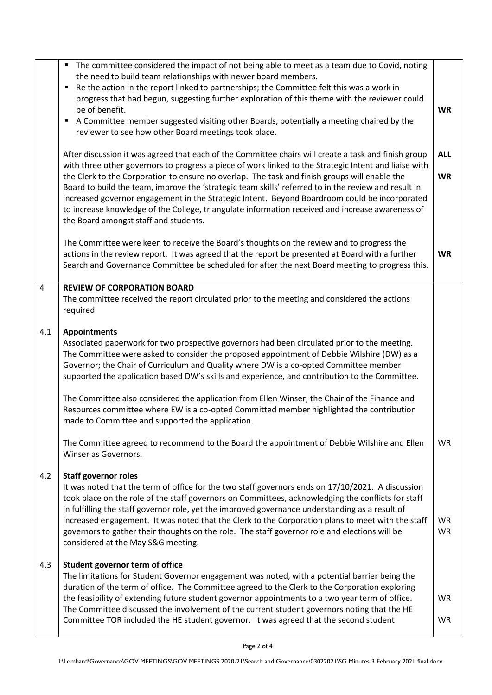|     | " The committee considered the impact of not being able to meet as a team due to Covid, noting<br>the need to build team relationships with newer board members.<br>Re the action in the report linked to partnerships; the Committee felt this was a work in<br>progress that had begun, suggesting further exploration of this theme with the reviewer could<br>be of benefit.<br>A Committee member suggested visiting other Boards, potentially a meeting chaired by the<br>reviewer to see how other Board meetings took place.                                                                                                                                 | <b>WR</b>               |
|-----|----------------------------------------------------------------------------------------------------------------------------------------------------------------------------------------------------------------------------------------------------------------------------------------------------------------------------------------------------------------------------------------------------------------------------------------------------------------------------------------------------------------------------------------------------------------------------------------------------------------------------------------------------------------------|-------------------------|
|     | After discussion it was agreed that each of the Committee chairs will create a task and finish group<br>with three other governors to progress a piece of work linked to the Strategic Intent and liaise with<br>the Clerk to the Corporation to ensure no overlap. The task and finish groups will enable the<br>Board to build the team, improve the 'strategic team skills' referred to in the review and result in<br>increased governor engagement in the Strategic Intent. Beyond Boardroom could be incorporated<br>to increase knowledge of the College, triangulate information received and increase awareness of<br>the Board amongst staff and students. | <b>ALL</b><br><b>WR</b> |
|     | The Committee were keen to receive the Board's thoughts on the review and to progress the<br>actions in the review report. It was agreed that the report be presented at Board with a further<br>Search and Governance Committee be scheduled for after the next Board meeting to progress this.                                                                                                                                                                                                                                                                                                                                                                     | <b>WR</b>               |
| 4   | <b>REVIEW OF CORPORATION BOARD</b><br>The committee received the report circulated prior to the meeting and considered the actions<br>required.                                                                                                                                                                                                                                                                                                                                                                                                                                                                                                                      |                         |
| 4.1 | <b>Appointments</b><br>Associated paperwork for two prospective governors had been circulated prior to the meeting.<br>The Committee were asked to consider the proposed appointment of Debbie Wilshire (DW) as a<br>Governor; the Chair of Curriculum and Quality where DW is a co-opted Committee member<br>supported the application based DW's skills and experience, and contribution to the Committee.                                                                                                                                                                                                                                                         |                         |
|     | The Committee also considered the application from Ellen Winser; the Chair of the Finance and<br>Resources committee where EW is a co-opted Committed member highlighted the contribution<br>made to Committee and supported the application.                                                                                                                                                                                                                                                                                                                                                                                                                        |                         |
|     | The Committee agreed to recommend to the Board the appointment of Debbie Wilshire and Ellen<br>Winser as Governors.                                                                                                                                                                                                                                                                                                                                                                                                                                                                                                                                                  | <b>WR</b>               |
| 4.2 | <b>Staff governor roles</b><br>It was noted that the term of office for the two staff governors ends on 17/10/2021. A discussion<br>took place on the role of the staff governors on Committees, acknowledging the conflicts for staff<br>in fulfilling the staff governor role, yet the improved governance understanding as a result of<br>increased engagement. It was noted that the Clerk to the Corporation plans to meet with the staff<br>governors to gather their thoughts on the role. The staff governor role and elections will be<br>considered at the May S&G meeting.                                                                                | <b>WR</b><br><b>WR</b>  |
| 4.3 | Student governor term of office<br>The limitations for Student Governor engagement was noted, with a potential barrier being the<br>duration of the term of office. The Committee agreed to the Clerk to the Corporation exploring<br>the feasibility of extending future student governor appointments to a two year term of office.<br>The Committee discussed the involvement of the current student governors noting that the HE<br>Committee TOR included the HE student governor. It was agreed that the second student                                                                                                                                        | <b>WR</b><br><b>WR</b>  |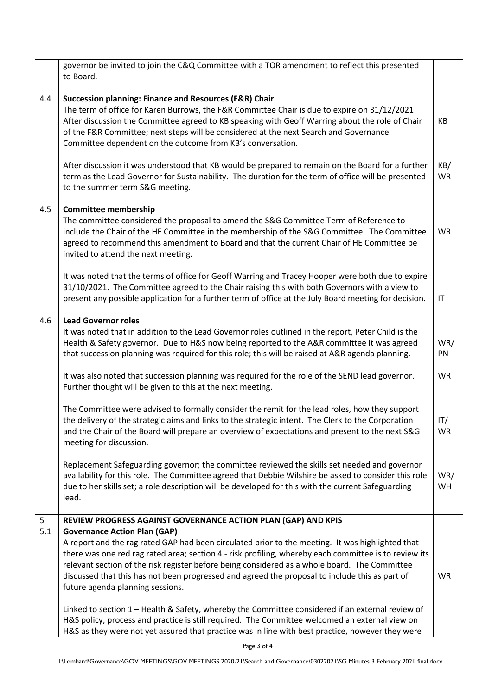|          | governor be invited to join the C&Q Committee with a TOR amendment to reflect this presented<br>to Board.                                                                                                                                                                                                                                                                                                                                                                               |                  |
|----------|-----------------------------------------------------------------------------------------------------------------------------------------------------------------------------------------------------------------------------------------------------------------------------------------------------------------------------------------------------------------------------------------------------------------------------------------------------------------------------------------|------------------|
| 4.4      | <b>Succession planning: Finance and Resources (F&amp;R) Chair</b><br>The term of office for Karen Burrows, the F&R Committee Chair is due to expire on 31/12/2021.<br>After discussion the Committee agreed to KB speaking with Geoff Warring about the role of Chair<br>of the F&R Committee; next steps will be considered at the next Search and Governance<br>Committee dependent on the outcome from KB's conversation.                                                            | KB               |
|          | After discussion it was understood that KB would be prepared to remain on the Board for a further<br>term as the Lead Governor for Sustainability. The duration for the term of office will be presented<br>to the summer term S&G meeting.                                                                                                                                                                                                                                             | KB/<br><b>WR</b> |
| 4.5      | <b>Committee membership</b><br>The committee considered the proposal to amend the S&G Committee Term of Reference to<br>include the Chair of the HE Committee in the membership of the S&G Committee. The Committee<br>agreed to recommend this amendment to Board and that the current Chair of HE Committee be<br>invited to attend the next meeting.                                                                                                                                 | <b>WR</b>        |
|          | It was noted that the terms of office for Geoff Warring and Tracey Hooper were both due to expire<br>31/10/2021. The Committee agreed to the Chair raising this with both Governors with a view to<br>present any possible application for a further term of office at the July Board meeting for decision.                                                                                                                                                                             | IT               |
| 4.6      | <b>Lead Governor roles</b><br>It was noted that in addition to the Lead Governor roles outlined in the report, Peter Child is the<br>Health & Safety governor. Due to H&S now being reported to the A&R committee it was agreed<br>that succession planning was required for this role; this will be raised at A&R agenda planning.                                                                                                                                                     | WR/<br>PN        |
|          | It was also noted that succession planning was required for the role of the SEND lead governor.<br>Further thought will be given to this at the next meeting.                                                                                                                                                                                                                                                                                                                           | <b>WR</b>        |
|          | The Committee were advised to formally consider the remit for the lead roles, how they support<br>the delivery of the strategic aims and links to the strategic intent. The Clerk to the Corporation<br>and the Chair of the Board will prepare an overview of expectations and present to the next S&G<br>meeting for discussion.                                                                                                                                                      | IT/<br>WR.       |
|          | Replacement Safeguarding governor; the committee reviewed the skills set needed and governor<br>availability for this role. The Committee agreed that Debbie Wilshire be asked to consider this role<br>due to her skills set; a role description will be developed for this with the current Safeguarding<br>lead.                                                                                                                                                                     | WR/<br>WH        |
| 5<br>5.1 | REVIEW PROGRESS AGAINST GOVERNANCE ACTION PLAN (GAP) AND KPIS                                                                                                                                                                                                                                                                                                                                                                                                                           |                  |
|          | <b>Governance Action Plan (GAP)</b><br>A report and the rag rated GAP had been circulated prior to the meeting. It was highlighted that<br>there was one red rag rated area; section 4 - risk profiling, whereby each committee is to review its<br>relevant section of the risk register before being considered as a whole board. The Committee<br>discussed that this has not been progressed and agreed the proposal to include this as part of<br>future agenda planning sessions. | WR               |
|          | Linked to section 1 - Health & Safety, whereby the Committee considered if an external review of<br>H&S policy, process and practice is still required. The Committee welcomed an external view on<br>H&S as they were not yet assured that practice was in line with best practice, however they were                                                                                                                                                                                  |                  |